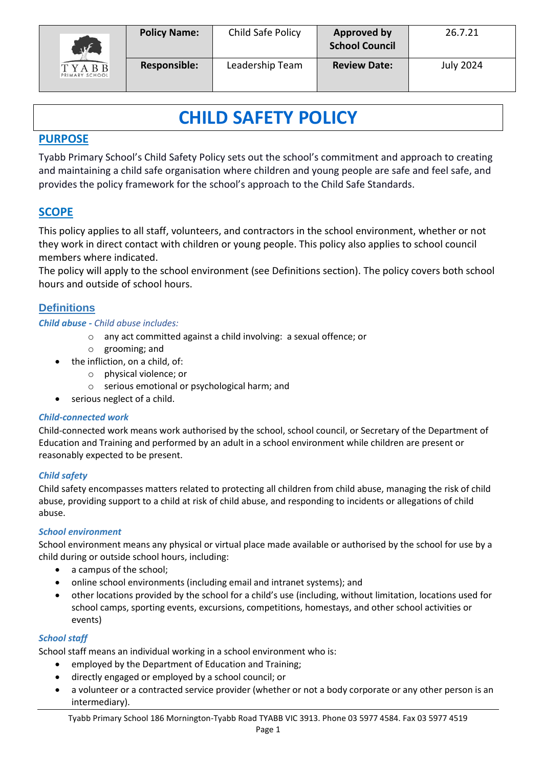

# **CHILD SAFETY POLICY**

## **PURPOSE**

Tyabb Primary School's Child Safety Policy sets out the school's commitment and approach to creating and maintaining a child safe organisation where children and young people are safe and feel safe, and provides the policy framework for the school's approach to the Child Safe Standards.

## **SCOPE**

This policy applies to all staff, volunteers, and contractors in the school environment, whether or not they work in direct contact with children or young people. This policy also applies to school council members where indicated.

The policy will apply to the school environment (see Definitions section). The policy covers both school hours and outside of school hours.

## **Definitions**

## *Child abuse - Child abuse includes:*

- o any act committed against a child involving: a sexual offence; or
- o grooming; and
- the infliction, on a child, of:
	- o physical violence; or
		- o serious emotional or psychological harm; and
- serious neglect of a child.

## *Child-connected work*

Child-connected work means work authorised by the school, school council, or Secretary of the Department of Education and Training and performed by an adult in a school environment while children are present or reasonably expected to be present.

## *Child safety*

Child safety encompasses matters related to protecting all children from child abuse, managing the risk of child abuse, providing support to a child at risk of child abuse, and responding to incidents or allegations of child abuse.

## *School environment*

School environment means any physical or virtual place made available or authorised by the school for use by a child during or outside school hours, including:

- a campus of the school;
- online school environments (including email and intranet systems); and
- other locations provided by the school for a child's use (including, without limitation, locations used for school camps, sporting events, excursions, competitions, homestays, and other school activities or events)

## *School staff*

School staff means an individual working in a school environment who is:

- employed by the Department of Education and Training;
- directly engaged or employed by a school council; or
- a volunteer or a contracted service provider (whether or not a body corporate or any other person is an intermediary).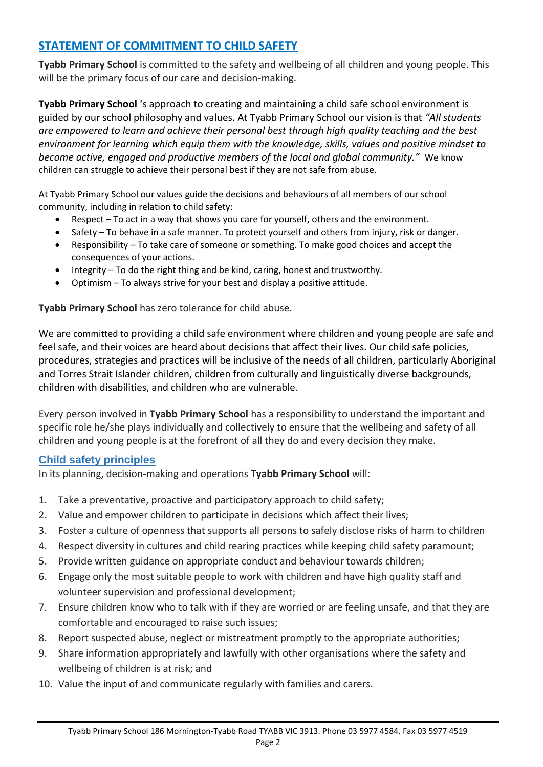## **STATEMENT OF COMMITMENT TO CHILD SAFETY**

**Tyabb Primary School** is committed to the safety and wellbeing of all children and young people. This will be the primary focus of our care and decision-making.

**Tyabb Primary School** 's approach to creating and maintaining a child safe school environment is guided by our school philosophy and values. At Tyabb Primary School our vision is that *"All students are empowered to learn and achieve their personal best through high quality teaching and the best environment for learning which equip them with the knowledge, skills, values and positive mindset to become active, engaged and productive members of the local and global community."* We know children can struggle to achieve their personal best if they are not safe from abuse.

At Tyabb Primary School our values guide the decisions and behaviours of all members of our school community, including in relation to child safety:

- Respect To act in a way that shows you care for yourself, others and the environment.
- Safety To behave in a safe manner. To protect yourself and others from injury, risk or danger.
- Responsibility To take care of someone or something. To make good choices and accept the consequences of your actions.
- Integrity To do the right thing and be kind, caring, honest and trustworthy.
- Optimism To always strive for your best and display a positive attitude.

**Tyabb Primary School** has zero tolerance for child abuse.

We are committed to providing a child safe environment where children and young people are safe and feel safe, and their voices are heard about decisions that affect their lives. Our child safe policies, procedures, strategies and practices will be inclusive of the needs of all children, particularly Aboriginal and Torres Strait Islander children, children from culturally and linguistically diverse backgrounds, children with disabilities, and children who are vulnerable.

Every person involved in **Tyabb Primary School** has a responsibility to understand the important and specific role he/she plays individually and collectively to ensure that the wellbeing and safety of all children and young people is at the forefront of all they do and every decision they make.

## **Child safety principles**

In its planning, decision-making and operations **Tyabb Primary School** will:

- 1. Take a preventative, proactive and participatory approach to child safety;
- 2. Value and empower children to participate in decisions which affect their lives;
- 3. Foster a culture of openness that supports all persons to safely disclose risks of harm to children
- 4. Respect diversity in cultures and child rearing practices while keeping child safety paramount;
- 5. Provide written guidance on appropriate conduct and behaviour towards children;
- 6. Engage only the most suitable people to work with children and have high quality staff and volunteer supervision and professional development;
- 7. Ensure children know who to talk with if they are worried or are feeling unsafe, and that they are comfortable and encouraged to raise such issues;
- 8. Report suspected abuse, neglect or mistreatment promptly to the appropriate authorities;
- 9. Share information appropriately and lawfully with other organisations where the safety and wellbeing of children is at risk; and
- 10. Value the input of and communicate regularly with families and carers.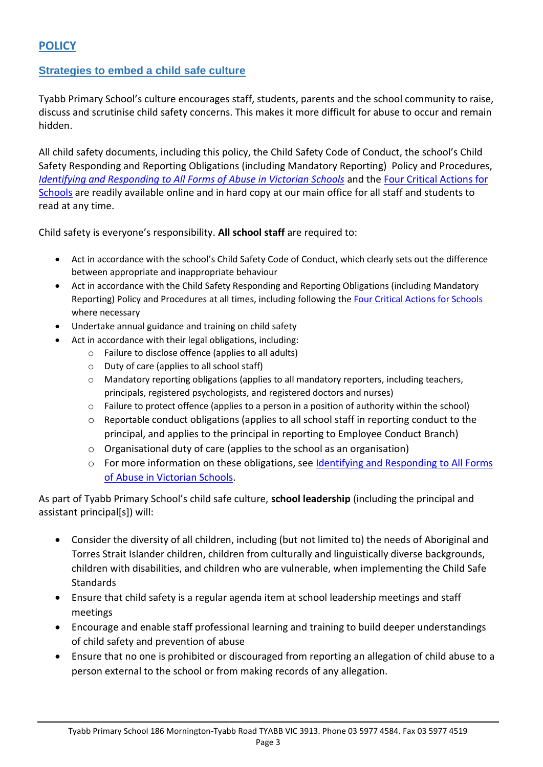## **Strategies to embed a child safe culture**

Tyabb Primary School's culture encourages staff, students, parents and the school community to raise, discuss and scrutinise child safety concerns. This makes it more difficult for abuse to occur and remain hidden.

All child safety documents, including this policy, the Child Safety Code of Conduct, the school's Child Safety Responding and Reporting Obligations (including Mandatory Reporting) Policy and Procedures, *[Identifying and Responding to All Forms of Abuse in Victorian Schools](https://www.education.vic.gov.au/Documents/about/programs/health/protect/ChildSafeStandard5_SchoolsGuide.pdf)* and the [Four Critical Actions for](https://www.education.vic.gov.au/Documents/about/programs/health/protect/FourCriticalActions_ChildAbuse.pdf)  [Schools](https://www.education.vic.gov.au/Documents/about/programs/health/protect/FourCriticalActions_ChildAbuse.pdf) are readily available online and in hard copy at our main office for all staff and students to read at any time.

Child safety is everyone's responsibility. **All school staff** are required to:

- Act in accordance with the school's Child Safety Code of Conduct, which clearly sets out the difference between appropriate and inappropriate behaviour
- Act in accordance with the Child Safety Responding and Reporting Obligations (including Mandatory Reporting) Policy and Procedures at all times, including following the [Four Critical Actions for Schools](https://www.education.vic.gov.au/Documents/about/programs/health/protect/FourCriticalActions_ChildAbuse.pdf) where necessary
- Undertake annual guidance and training on child safety
- Act in accordance with their legal obligations, including:
	- o Failure to disclose offence (applies to all adults)
	- o Duty of care (applies to all school staff)
	- o Mandatory reporting obligations (applies to all mandatory reporters, including teachers, principals, registered psychologists, and registered doctors and nurses)
	- o Failure to protect offence (applies to a person in a position of authority within the school)
	- o Reportable conduct obligations (applies to all school staff in reporting conduct to the principal, and applies to the principal in reporting to Employee Conduct Branch)
	- o Organisational duty of care (applies to the school as an organisation)
	- o For more information on these obligations, see Identifying and Responding to All Forms [of Abuse in Victorian Schools.](https://www.education.vic.gov.au/Documents/about/programs/health/protect/ChildSafeStandard5_SchoolsGuide.pdf)

As part of Tyabb Primary School's child safe culture, **school leadership** (including the principal and assistant principal[s]) will:

- Consider the diversity of all children, including (but not limited to) the needs of Aboriginal and Torres Strait Islander children, children from culturally and linguistically diverse backgrounds, children with disabilities, and children who are vulnerable, when implementing the Child Safe **Standards**
- Ensure that child safety is a regular agenda item at school leadership meetings and staff meetings
- Encourage and enable staff professional learning and training to build deeper understandings of child safety and prevention of abuse
- Ensure that no one is prohibited or discouraged from reporting an allegation of child abuse to a person external to the school or from making records of any allegation.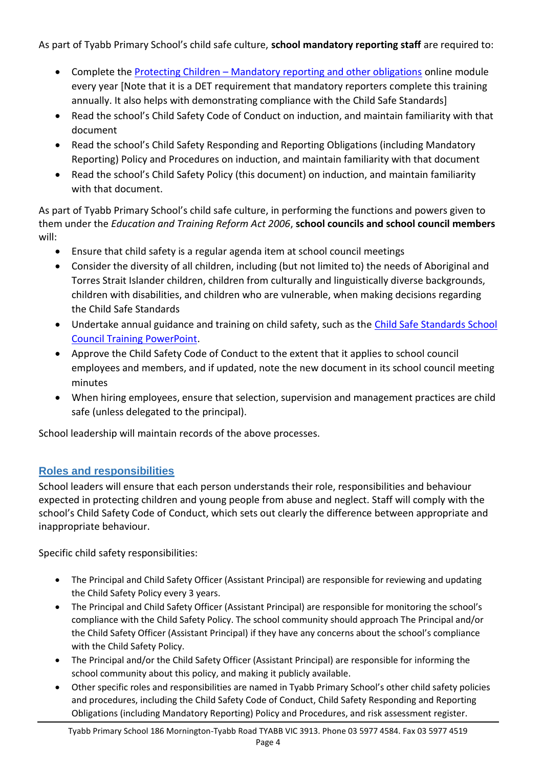## As part of Tyabb Primary School's child safe culture, **school mandatory reporting staff** are required to:

- Complete the Protecting Children [Mandatory reporting and other obligations](http://elearn.com.au/det/protectingchildren/) online module every year [Note that it is a DET requirement that mandatory reporters complete this training annually. It also helps with demonstrating compliance with the Child Safe Standards]
- Read the school's Child Safety Code of Conduct on induction, and maintain familiarity with that document
- Read the school's Child Safety Responding and Reporting Obligations (including Mandatory Reporting) Policy and Procedures on induction, and maintain familiarity with that document
- Read the school's Child Safety Policy (this document) on induction, and maintain familiarity with that document.

As part of Tyabb Primary School's child safe culture, in performing the functions and powers given to them under the *Education and Training Reform Act 2006*, **school councils and school council members** will:

- Ensure that child safety is a regular agenda item at school council meetings
- Consider the diversity of all children, including (but not limited to) the needs of Aboriginal and Torres Strait Islander children, children from culturally and linguistically diverse backgrounds, children with disabilities, and children who are vulnerable, when making decisions regarding the Child Safe Standards
- Undertake annual guidance and training on child safety, such as the Child Safe Standards School [Council Training PowerPoint.](https://www.education.vic.gov.au/Documents/about/programs/health/protect/school-council-training.pptx)
- Approve the Child Safety Code of Conduct to the extent that it applies to school council employees and members, and if updated, note the new document in its school council meeting minutes
- When hiring employees, ensure that selection, supervision and management practices are child safe (unless delegated to the principal).

School leadership will maintain records of the above processes.

## **Roles and responsibilities**

School leaders will ensure that each person understands their role, responsibilities and behaviour expected in protecting children and young people from abuse and neglect. Staff will comply with the school's Child Safety Code of Conduct, which sets out clearly the difference between appropriate and inappropriate behaviour.

Specific child safety responsibilities:

- The Principal and Child Safety Officer (Assistant Principal) are responsible for reviewing and updating the Child Safety Policy every 3 years.
- The Principal and Child Safety Officer (Assistant Principal) are responsible for monitoring the school's compliance with the Child Safety Policy. The school community should approach The Principal and/or the Child Safety Officer (Assistant Principal) if they have any concerns about the school's compliance with the Child Safety Policy.
- The Principal and/or the Child Safety Officer (Assistant Principal) are responsible for informing the school community about this policy, and making it publicly available.
- Other specific roles and responsibilities are named in Tyabb Primary School's other child safety policies and procedures, including the Child Safety Code of Conduct, Child Safety Responding and Reporting Obligations (including Mandatory Reporting) Policy and Procedures, and risk assessment register.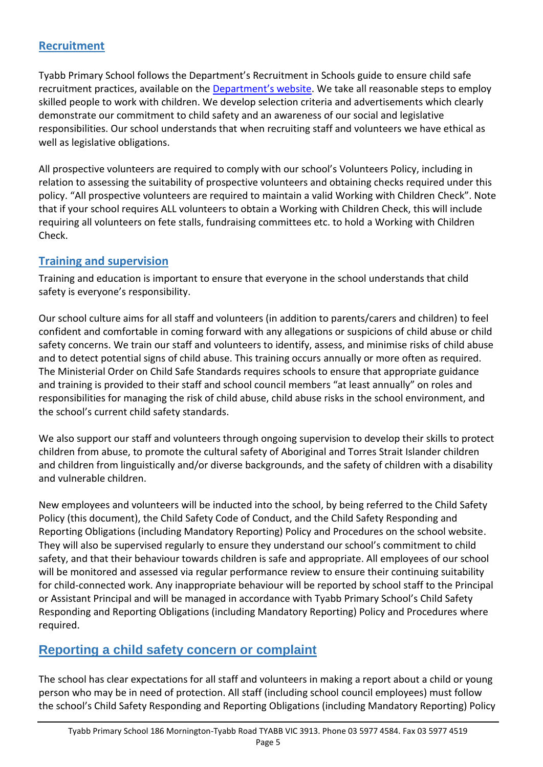## **Recruitment**

Tyabb Primary School follows the Department's Recruitment in Schools guide to ensure child safe recruitment practices, available on the [Department's website](https://www.education.vic.gov.au/hrweb/careers/Pages/recruitinsch.aspx). We take all reasonable steps to employ skilled people to work with children. We develop selection criteria and advertisements which clearly demonstrate our commitment to child safety and an awareness of our social and legislative responsibilities. Our school understands that when recruiting staff and volunteers we have ethical as well as legislative obligations.

All prospective volunteers are required to comply with our school's Volunteers Policy, including in relation to assessing the suitability of prospective volunteers and obtaining checks required under this policy. "All prospective volunteers are required to maintain a valid Working with Children Check". Note that if your school requires ALL volunteers to obtain a Working with Children Check, this will include requiring all volunteers on fete stalls, fundraising committees etc. to hold a Working with Children Check.

## **Training and supervision**

Training and education is important to ensure that everyone in the school understands that child safety is everyone's responsibility.

Our school culture aims for all staff and volunteers (in addition to parents/carers and children) to feel confident and comfortable in coming forward with any allegations or suspicions of child abuse or child safety concerns. We train our staff and volunteers to identify, assess, and minimise risks of child abuse and to detect potential signs of child abuse. This training occurs annually or more often as required. The Ministerial Order on Child Safe Standards requires schools to ensure that appropriate guidance and training is provided to their staff and school council members "at least annually" on roles and responsibilities for managing the risk of child abuse, child abuse risks in the school environment, and the school's current child safety standards.

We also support our staff and volunteers through ongoing supervision to develop their skills to protect children from abuse, to promote the cultural safety of Aboriginal and Torres Strait Islander children and children from linguistically and/or diverse backgrounds, and the safety of children with a disability and vulnerable children.

New employees and volunteers will be inducted into the school, by being referred to the Child Safety Policy (this document), the Child Safety Code of Conduct, and the Child Safety Responding and Reporting Obligations (including Mandatory Reporting) Policy and Procedures on the school website. They will also be supervised regularly to ensure they understand our school's commitment to child safety, and that their behaviour towards children is safe and appropriate. All employees of our school will be monitored and assessed via regular performance review to ensure their continuing suitability for child-connected work. Any inappropriate behaviour will be reported by school staff to the Principal or Assistant Principal and will be managed in accordance with Tyabb Primary School's Child Safety Responding and Reporting Obligations (including Mandatory Reporting) Policy and Procedures where required.

## **Reporting a child safety concern or complaint**

The school has clear expectations for all staff and volunteers in making a report about a child or young person who may be in need of protection. All staff (including school council employees) must follow the school's Child Safety Responding and Reporting Obligations (including Mandatory Reporting) Policy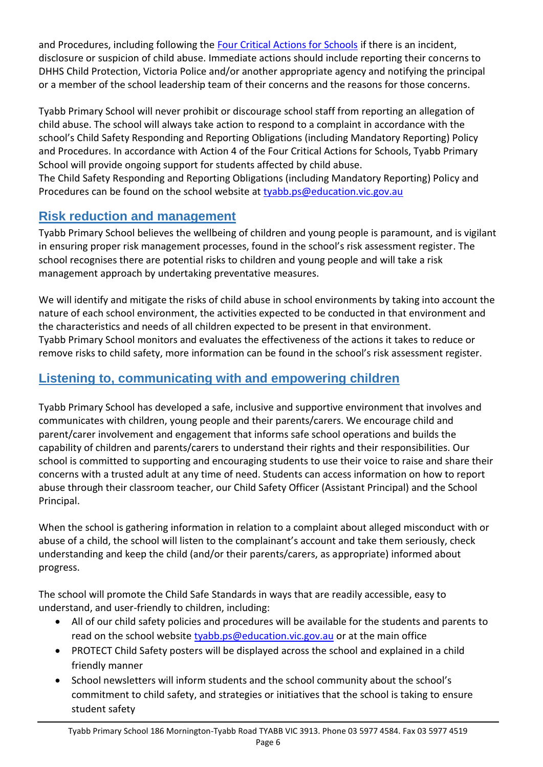and Procedures, including following the [Four Critical Actions for Schools](https://www.education.vic.gov.au/Documents/about/programs/health/protect/FourCriticalActions_ChildAbuse.pdf) if there is an incident, disclosure or suspicion of child abuse. Immediate actions should include reporting their concerns to DHHS Child Protection, Victoria Police and/or another appropriate agency and notifying the principal or a member of the school leadership team of their concerns and the reasons for those concerns.

Tyabb Primary School will never prohibit or discourage school staff from reporting an allegation of child abuse. The school will always take action to respond to a complaint in accordance with the school's Child Safety Responding and Reporting Obligations (including Mandatory Reporting) Policy and Procedures. In accordance with Action 4 of the Four Critical Actions for Schools, Tyabb Primary School will provide ongoing support for students affected by child abuse.

The Child Safety Responding and Reporting Obligations (including Mandatory Reporting) Policy and Procedures can be found on the school website at [tyabb.ps@education.vic.gov.au](mailto:tyabb.ps@education.vic.gov.au)

## **Risk reduction and management**

Tyabb Primary School believes the wellbeing of children and young people is paramount, and is vigilant in ensuring proper risk management processes, found in the school's risk assessment register. The school recognises there are potential risks to children and young people and will take a risk management approach by undertaking preventative measures.

We will identify and mitigate the risks of child abuse in school environments by taking into account the nature of each school environment, the activities expected to be conducted in that environment and the characteristics and needs of all children expected to be present in that environment. Tyabb Primary School monitors and evaluates the effectiveness of the actions it takes to reduce or remove risks to child safety, more information can be found in the school's risk assessment register.

## **Listening to, communicating with and empowering children**

Tyabb Primary School has developed a safe, inclusive and supportive environment that involves and communicates with children, young people and their parents/carers. We encourage child and parent/carer involvement and engagement that informs safe school operations and builds the capability of children and parents/carers to understand their rights and their responsibilities. Our school is committed to supporting and encouraging students to use their voice to raise and share their concerns with a trusted adult at any time of need. Students can access information on how to report abuse through their classroom teacher, our Child Safety Officer (Assistant Principal) and the School Principal.

When the school is gathering information in relation to a complaint about alleged misconduct with or abuse of a child, the school will listen to the complainant's account and take them seriously, check understanding and keep the child (and/or their parents/carers, as appropriate) informed about progress.

The school will promote the Child Safe Standards in ways that are readily accessible, easy to understand, and user-friendly to children, including:

- All of our child safety policies and procedures will be available for the students and parents to read on the school website [tyabb.ps@education.vic.gov.au](mailto:tyabb.ps@education.vic.gov.au) or at the main office
- PROTECT Child Safety posters will be displayed across the school and explained in a child friendly manner
- School newsletters will inform students and the school community about the school's commitment to child safety, and strategies or initiatives that the school is taking to ensure student safety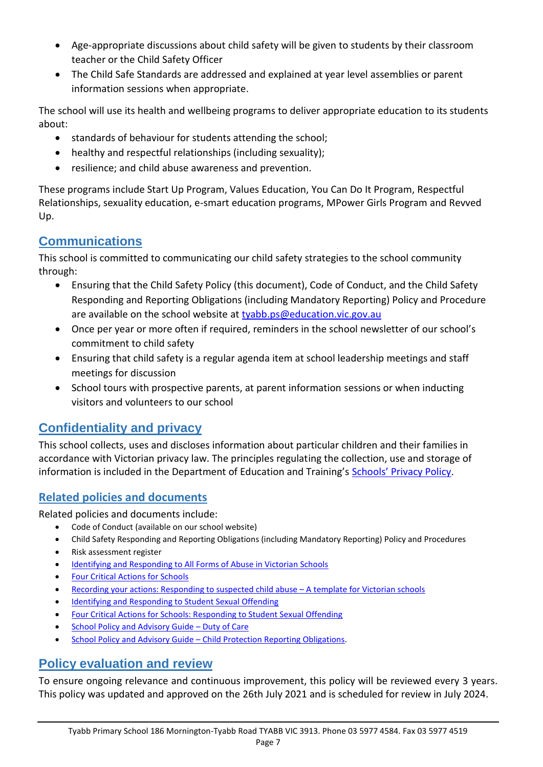- Age-appropriate discussions about child safety will be given to students by their classroom teacher or the Child Safety Officer
- The Child Safe Standards are addressed and explained at year level assemblies or parent information sessions when appropriate.

The school will use its health and wellbeing programs to deliver appropriate education to its students about:

- standards of behaviour for students attending the school;
- healthy and respectful relationships (including sexuality);
- resilience; and child abuse awareness and prevention.

These programs include Start Up Program, Values Education, You Can Do It Program, Respectful Relationships, sexuality education, e-smart education programs, MPower Girls Program and Revved Up.

## **Communications**

This school is committed to communicating our child safety strategies to the school community through:

- Ensuring that the Child Safety Policy (this document), Code of Conduct, and the Child Safety Responding and Reporting Obligations (including Mandatory Reporting) Policy and Procedure are available on the school website at [tyabb.ps@education.vic.gov.au](mailto:tyabb.ps@education.vic.gov.au)
- Once per year or more often if required, reminders in the school newsletter of our school's commitment to child safety
- Ensuring that child safety is a regular agenda item at school leadership meetings and staff meetings for discussion
- School tours with prospective parents, at parent information sessions or when inducting visitors and volunteers to our school

## **Confidentiality and privacy**

This school collects, uses and discloses information about particular children and their families in accordance with Victorian privacy law. The principles regulating the collection, use and storage of information is included in the Department of Education and Training's [Schools' Privacy Policy](https://www.education.vic.gov.au/Pages/schoolsprivacypolicy.aspx).

## **Related policies and documents**

Related policies and documents include:

- Code of Conduct (available on our school website)
- Child Safety Responding and Reporting Obligations (including Mandatory Reporting) Policy and Procedures
- Risk assessment register
- [Identifying and Responding to All Forms of Abuse in Victorian Schools](https://www.education.vic.gov.au/Documents/about/programs/health/protect/ChildSafeStandard5_SchoolsGuide.pdf)
- [Four Critical Actions for Schools](https://www.education.vic.gov.au/Documents/about/programs/health/protect/FourCriticalActions_ChildAbuse.pdf)
- [Recording your actions: Responding to suspected child abuse](https://www.education.vic.gov.au/Documents/about/programs/health/protect/PROTECT_Schoolstemplate.pdf)  A template for Victorian schools
- [Identifying and Responding to Student Sexual Offending](https://www.education.vic.gov.au/Documents/about/programs/health/protect/SSO_Policy.pdf)
- [Four Critical Actions for Schools: Responding to Student Sexual Offending](https://www.education.vic.gov.au/Documents/about/programs/health/protect/FourCriticalActions_SSO.pdf)
- [School Policy and Advisory Guide](https://www.education.vic.gov.au/school/principals/spag/safety/Pages/dutyofcare.aspx)  Duty of Care
- School Policy and Advisory Guide [Child Protection Reporting Obligations.](https://www.education.vic.gov.au/school/principals/spag/safety/Pages/childprotectobligation.aspx)

## **Policy evaluation and review**

To ensure ongoing relevance and continuous improvement, this policy will be reviewed every 3 years. This policy was updated and approved on the 26th July 2021 and is scheduled for review in July 2024.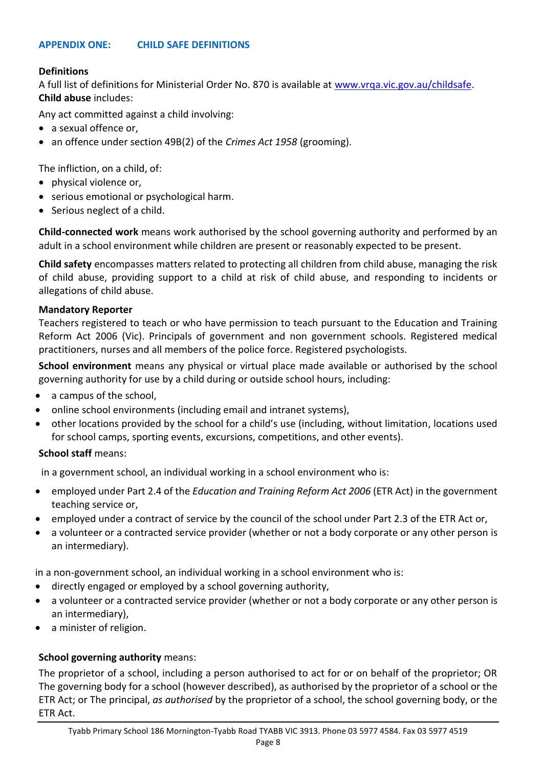## **APPENDIX ONE: CHILD SAFE DEFINITIONS**

#### **Definitions**

A full list of definitions for Ministerial Order No. 870 is available at [www.vrqa.vic.gov.au/childsafe.](http://www.vrqa.vic.gov.au/childsafe) **Child abuse** includes:

Any act committed against a child involving:

- a sexual offence or,
- an offence under section 49B(2) of the *Crimes Act 1958* (grooming).

The infliction, on a child, of:

- physical violence or,
- serious emotional or psychological harm.
- Serious neglect of a child.

**Child-connected work** means work authorised by the school governing authority and performed by an adult in a school environment while children are present or reasonably expected to be present.

**Child safety** encompasses matters related to protecting all children from child abuse, managing the risk of child abuse, providing support to a child at risk of child abuse, and responding to incidents or allegations of child abuse.

#### **Mandatory Reporter**

Teachers registered to teach or who have permission to teach pursuant to the Education and Training Reform Act 2006 (Vic). Principals of government and non government schools. Registered medical practitioners, nurses and all members of the police force. Registered psychologists.

**School environment** means any physical or virtual place made available or authorised by the school governing authority for use by a child during or outside school hours, including:

- a campus of the school,
- online school environments (including email and intranet systems),
- other locations provided by the school for a child's use (including, without limitation, locations used for school camps, sporting events, excursions, competitions, and other events).

#### **School staff** means:

in a government school, an individual working in a school environment who is:

- employed under Part 2.4 of the *Education and Training Reform Act 2006* (ETR Act) in the government teaching service or,
- employed under a contract of service by the council of the school under Part 2.3 of the ETR Act or,
- a volunteer or a contracted service provider (whether or not a body corporate or any other person is an intermediary).

in a non-government school, an individual working in a school environment who is:

- directly engaged or employed by a school governing authority,
- a volunteer or a contracted service provider (whether or not a body corporate or any other person is an intermediary),
- a minister of religion.

## **School governing authority** means:

The proprietor of a school, including a person authorised to act for or on behalf of the proprietor; OR The governing body for a school (however described), as authorised by the proprietor of a school or the ETR Act; or The principal, *as authorised* by the proprietor of a school, the school governing body, or the ETR Act.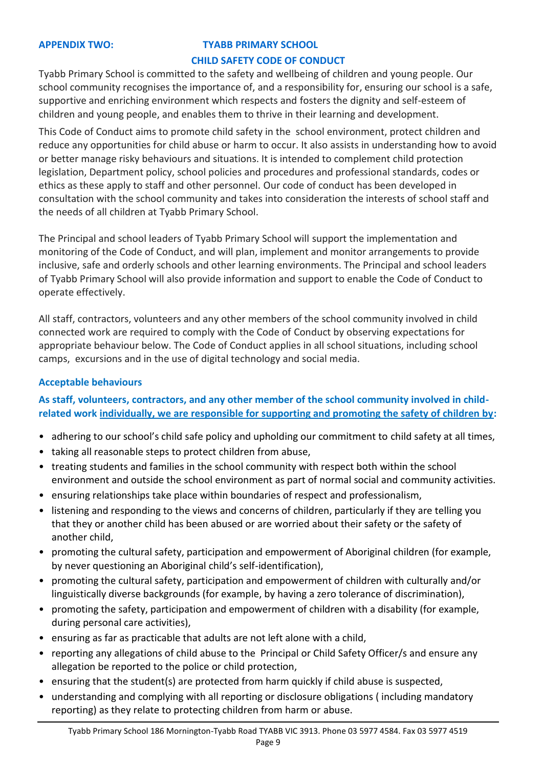#### **APPENDIX TWO: TYABB PRIMARY SCHOOL**

#### **CHILD SAFETY CODE OF CONDUCT**

Tyabb Primary School is committed to the safety and wellbeing of children and young people. Our school community recognises the importance of, and a responsibility for, ensuring our school is a safe, supportive and enriching environment which respects and fosters the dignity and self-esteem of children and young people, and enables them to thrive in their learning and development.

This Code of Conduct aims to promote child safety in the school environment, protect children and reduce any opportunities for child abuse or harm to occur. It also assists in understanding how to avoid or better manage risky behaviours and situations. It is intended to complement child protection legislation, Department policy, school policies and procedures and professional standards, codes or ethics as these apply to staff and other personnel. Our code of conduct has been developed in consultation with the school community and takes into consideration the interests of school staff and the needs of all children at Tyabb Primary School.

The Principal and school leaders of Tyabb Primary School will support the implementation and monitoring of the Code of Conduct, and will plan, implement and monitor arrangements to provide inclusive, safe and orderly schools and other learning environments. The Principal and school leaders of Tyabb Primary School will also provide information and support to enable the Code of Conduct to operate effectively.

All staff, contractors, volunteers and any other members of the school community involved in child connected work are required to comply with the Code of Conduct by observing expectations for appropriate behaviour below. The Code of Conduct applies in all school situations, including school camps, excursions and in the use of digital technology and social media.

#### **Acceptable behaviours**

**As staff, volunteers, contractors, and any other member of the school community involved in childrelated work individually, we are responsible for supporting and promoting the safety of children by:**

- adhering to our school's child safe policy and upholding our commitment to child safety at all times,
- taking all reasonable steps to protect children from abuse,
- treating students and families in the school community with respect both within the school environment and outside the school environment as part of normal social and community activities.
- ensuring relationships take place within boundaries of respect and professionalism,
- listening and responding to the views and concerns of children, particularly if they are telling you that they or another child has been abused or are worried about their safety or the safety of another child,
- promoting the cultural safety, participation and empowerment of Aboriginal children (for example, by never questioning an Aboriginal child's self-identification),
- promoting the cultural safety, participation and empowerment of children with culturally and/or linguistically diverse backgrounds (for example, by having a zero tolerance of discrimination),
- promoting the safety, participation and empowerment of children with a disability (for example, during personal care activities),
- ensuring as far as practicable that adults are not left alone with a child,
- reporting any allegations of child abuse to the Principal or Child Safety Officer/s and ensure any allegation be reported to the police or child protection,
- ensuring that the student(s) are protected from harm quickly if child abuse is suspected,
- understanding and complying with all reporting or disclosure obligations ( including mandatory reporting) as they relate to protecting children from harm or abuse.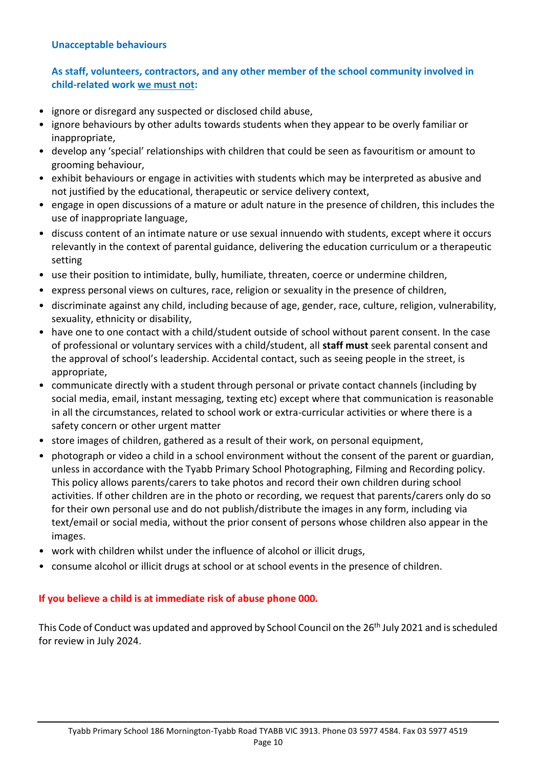#### **Unacceptable behaviours**

## **As staff, volunteers, contractors, and any other member of the school community involved in child-related work we must not:**

- ignore or disregard any suspected or disclosed child abuse,
- ignore behaviours by other adults towards students when they appear to be overly familiar or inappropriate,
- develop any 'special' relationships with children that could be seen as favouritism or amount to grooming behaviour,
- exhibit behaviours or engage in activities with students which may be interpreted as abusive and not justified by the educational, therapeutic or service delivery context,
- engage in open discussions of a mature or adult nature in the presence of children, this includes the use of inappropriate language,
- discuss content of an intimate nature or use sexual innuendo with students, except where it occurs relevantly in the context of parental guidance, delivering the education curriculum or a therapeutic setting
- use their position to intimidate, bully, humiliate, threaten, coerce or undermine children,
- express personal views on cultures, race, religion or sexuality in the presence of children,
- discriminate against any child, including because of age, gender, race, culture, religion, vulnerability, sexuality, ethnicity or disability,
- have one to one contact with a child/student outside of school without parent consent. In the case of professional or voluntary services with a child/student, all **staff must** seek parental consent and the approval of school's leadership. Accidental contact, such as seeing people in the street, is appropriate,
- communicate directly with a student through personal or private contact channels (including by social media, email, instant messaging, texting etc) except where that communication is reasonable in all the circumstances, related to school work or extra-curricular activities or where there is a safety concern or other urgent matter
- store images of children, gathered as a result of their work, on personal equipment,
- photograph or video a child in a school environment without the consent of the parent or guardian, unless in accordance with the Tyabb Primary School Photographing, Filming and Recording policy. This policy allows parents/carers to take photos and record their own children during school activities. If other children are in the photo or recording, we request that parents/carers only do so for their own personal use and do not publish/distribute the images in any form, including via text/email or social media, without the prior consent of persons whose children also appear in the images.
- work with children whilst under the influence of alcohol or illicit drugs,
- consume alcohol or illicit drugs at school or at school events in the presence of children.

## **If you believe a child is at immediate risk of abuse phone 000.**

This Code of Conduct was updated and approved by School Council on the 26<sup>th</sup> July 2021 and is scheduled for review in July 2024.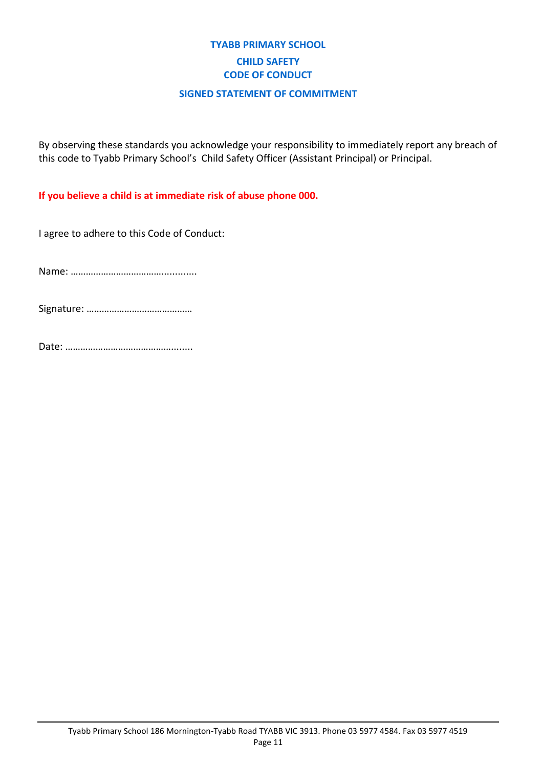## **TYABB PRIMARY SCHOOL CHILD SAFETY CODE OF CONDUCT**

#### **SIGNED STATEMENT OF COMMITMENT**

By observing these standards you acknowledge your responsibility to immediately report any breach of this code to Tyabb Primary School's Child Safety Officer (Assistant Principal) or Principal.

**If you believe a child is at immediate risk of abuse phone 000.**

I agree to adhere to this Code of Conduct:

Name: ……………………………….............

Signature: ……………………………………

Date: ……………………………………........